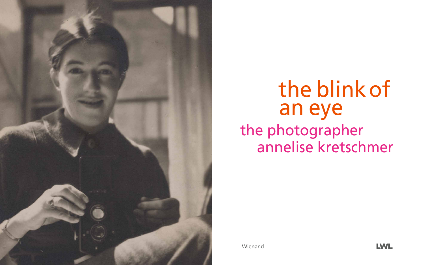

# the blink of the photographer annelise kretschmer an eye

Wienand

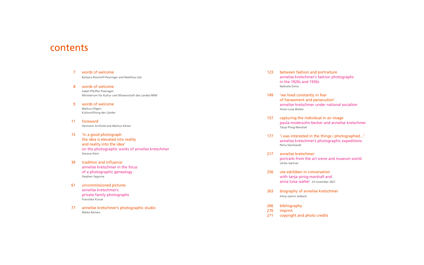| $\overline{7}$ | words of welcome<br>Barbara Rüschoff-Parzinger and Matthias Löb                                                                                              | 123               |
|----------------|--------------------------------------------------------------------------------------------------------------------------------------------------------------|-------------------|
| 8              | words of welcome<br>Isabel Pfeiffer-Poensgen<br>Ministerium für Kultur und Wissenschaft des Landes NRW                                                       | 149               |
| 9              | words of welcome<br>Markus Hilgert<br>Kulturstiftung der Länder                                                                                              |                   |
| 11             | foreword<br>Hermann Arnhold and Markus Köster                                                                                                                | 157               |
| 15             | 'in a good photograph<br>the idea is elevated into reality<br>and reality into the idea'<br>on the photographic works of annelise kretschmer<br>Simone Klein | 177<br>217        |
| 39             | tradition and influence<br>annelise kretschmer in the focus<br>of a photographic genealogy<br>Stephan Sagurna                                                | 256               |
| 61             | uncommissioned pictures<br>annelise kretschmer's<br>private family photographs<br>Franziska Kunze                                                            | 263               |
| 77             | annelise kretschmer's photographic studio<br><b>Meike Reiners</b>                                                                                            | 266<br>270<br>271 |

between fashion and portraiture annelise kretschmer's fashion photographs in the 1920s and 1930s Nathalie Dimic

'we lived constantly in fear of harassment and persecution' annelise kretschmer under national socialism Anna Luisa Walter

capturing the individual in an image paula modersohn-becker and annelise kretschmer Tanja Pirsig-Marshall

'i was interested in the things i photographed...' annelise kretschmer's photographic expeditions Petra Steinhardt

annelise kretschmer portraits from the art scene and museum world Ulrike Gärtner

ute eskildsen in conversation with tanja pirsig-marshall and anna luisa walter 23 november 2021

biography of annelise kretschmer Alina Jasmin Selbach

bibliography imprint copyright and photo credits

### contents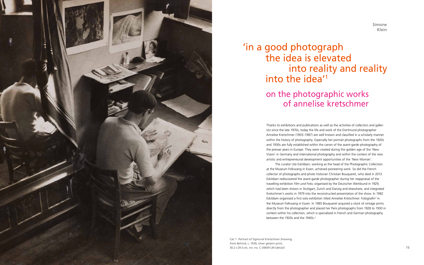Thanks to exhibitions and publications as well as the activities of collectors and gallerists since the late 1970s, today the life and work of the Dortmund photographer Annelise Kretschmer (1903–1987) are well known and classified in a scholarly manner within the history of photography. Especially her portrait photographs from the 1920s and 1930s are fully established within the canon of the avant-garde photography of the prewar years in Europe. They were created during the golden age of the 'New Vision' in Germany and international photography and within the context of the new artistic and entrepreneurial development opportunities of the 'New Woman'. The curator Ute Eskildsen, working as the head of the Photographic Collection at the Museum Folkwang in Essen, achieved pioneering work. So did the French collector of photographs and photo historian Christian Bouqueret, who died in 2013. Eskildsen rediscovered the avant-garde photographer during her reappraisal of the travelling exhibition *Film und Foto*, organised by the Deutscher Werkbund in 1929, which had been shown in Stuttgart, Zurich and Danzig and elsewhere, and integrated Kretschmer's works in 1979 into the reconstructed presentation of the show. In 1982 Eskildsen organised a first solo exhibition titled Annelise Kretschmer. Fotografin<sup>2</sup> in the Museum Folkwang in Essen. In 1985 Bouqueret acquired a stock of vintage prints directly from the photographer and placed her Paris photographs from 1928 to 1930 in context within his collection, which is specialised in French and German photography between the 1920s and the 1940s. 3



# 'in a good photograph the idea is elevated into reality and reality into the idea' 1

## on the photographic works of annelise kretschmer

Cat. 1 *Portrait of Sigmund Kretschmer Drawing, from Behind*, c. 1930, silver gelatin print, 30.2 × 29.5 cm, inv. no. C-30659 LM (detail) 15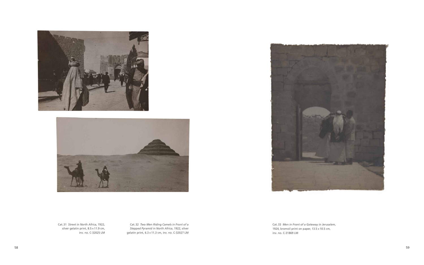Cat. 32 *Two Men Riding Camels in Front of a Stepped Pyramid in North Africa*, 1922, silver gelatin print, 6.3 × 11.3 cm, inv. no. C-32027 LM



Cat. 33 *Men in Front of a Gateway in Jerusalem*, 1924, bromoil print on paper,  $13.5 \times 10.5$  cm, inv. no. C-31869 LM





Cat. 31 *Street in North Africa*, 1922, silver gelatin print, 8.5 × 11.9 cm, inv. no. C-32025 LM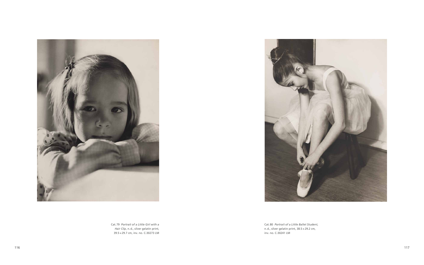Cat. 80 *Portrait of a Little Ballet Student*, n. d., silver gelatin print, 38.5 × 29.2 cm,



117 **116** 





Cat. 79 *Portrait of a Little Girl with a Hair Clip*, n. d., silver gelatin print, 39.5 × 29.7 cm, inv. no. C-30273 LM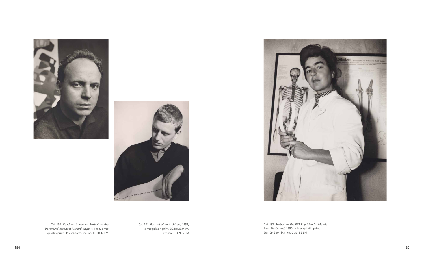Cat. 130 *Head and Shoulders Portrait of the Dortmund Architect Richard Riepe*, c. 1963, silver gelatin print, 39 × 29.6 cm, inv. no. C-30137 LM







Cat. 132 *Portrait of the ENT Physician Dr. Mentler from Dortmund*, 1950s, silver gelatin print, 39 × 29.6 cm, inv. no. C-30155 LM

Cat. 131 *Portrait of an Architect*, 1959, silver gelatin print, 39.8 × 29.9 cm, inv. no. C-30906 LM